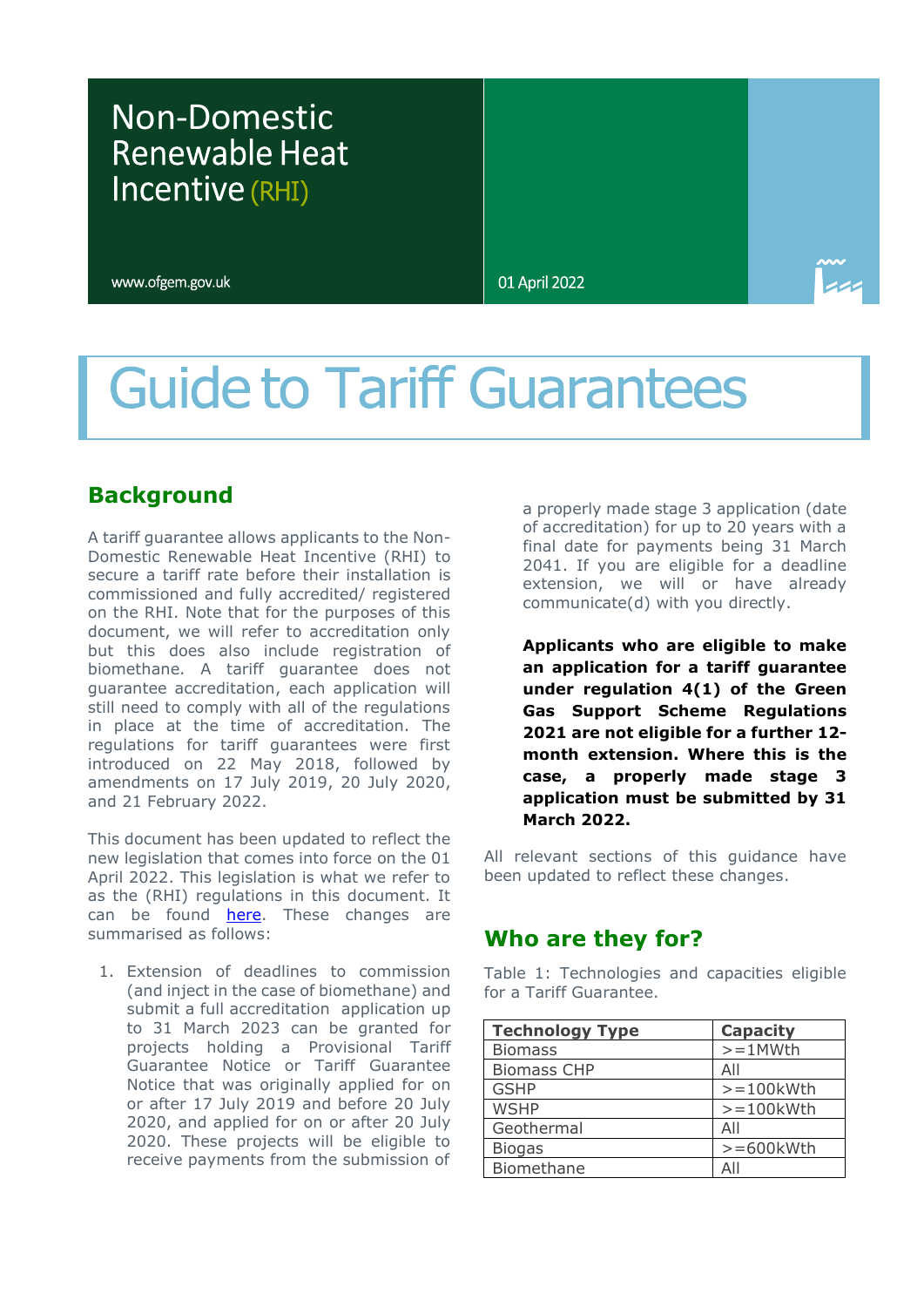## Non-Domestic Incentive (RHI)

www.ofgem.gov.uk

01 April 2022

# **Guide to Tariff Guarantees**

## **Background**

A tariff guarantee allows applicants to the Non-Domestic Renewable Heat Incentive (RHI) to secure a tariff rate before their installation is commissioned and fully accredited/ registered on the RHI. Note that for the purposes of this document, we will refer to accreditation only but this does also include registration of biomethane. A tariff guarantee does not guarantee accreditation, each application will still need to comply with all of the regulations in place at the time of accreditation. The regulations for tariff guarantees were first introduced on 22 May 2018, followed by amendments on 17 July 2019, 20 July 2020, and 21 February 2022.

This document has been updated to reflect the new legislation that comes into force on the 01 April 2022. This legislation is what we refer to as the (RHI) regulations in this document. It can be found **here**. These changes are summarised as follows:

1. Extension of deadlines to commission (and inject in the case of biomethane) and submit a full accreditation application up to 31 March 2023 can be granted for projects holding a Provisional Tariff Guarantee Notice or Tariff Guarantee Notice that was originally applied for on or after 17 July 2019 and before 20 July 2020, and applied for on or after 20 July 2020. These projects will be eligible to receive payments from the submission of

a properly made stage 3 application (date of accreditation) for up to 20 years with a final date for payments being 31 March 2041. If you are eligible for a deadline extension, we will or have already communicate(d) with you directly.

**Applicants who are eligible to make an application for a tariff guarantee under regulation 4(1) of the Green Gas Support Scheme Regulations 2021 are not eligible for a further 12 month extension. Where this is the case, a properly made stage 3 application must be submitted by 31 March 2022.**

All relevant sections of this guidance have been updated to reflect these changes.

### **Who are they for?**

Table 1: Technologies and capacities eligible for a Tariff Guarantee.

| <b>Technology Type</b> | <b>Capacity</b> |
|------------------------|-----------------|
| <b>Biomass</b>         | $>=1$ MWth      |
| <b>Biomass CHP</b>     | All             |
| <b>GSHP</b>            | $>=100$ kWth    |
| <b>WSHP</b>            | $>=100$ kWth    |
| Geothermal             | All             |
| <b>Biogas</b>          | $>= 600$ kWth   |
| Biomethane             | All             |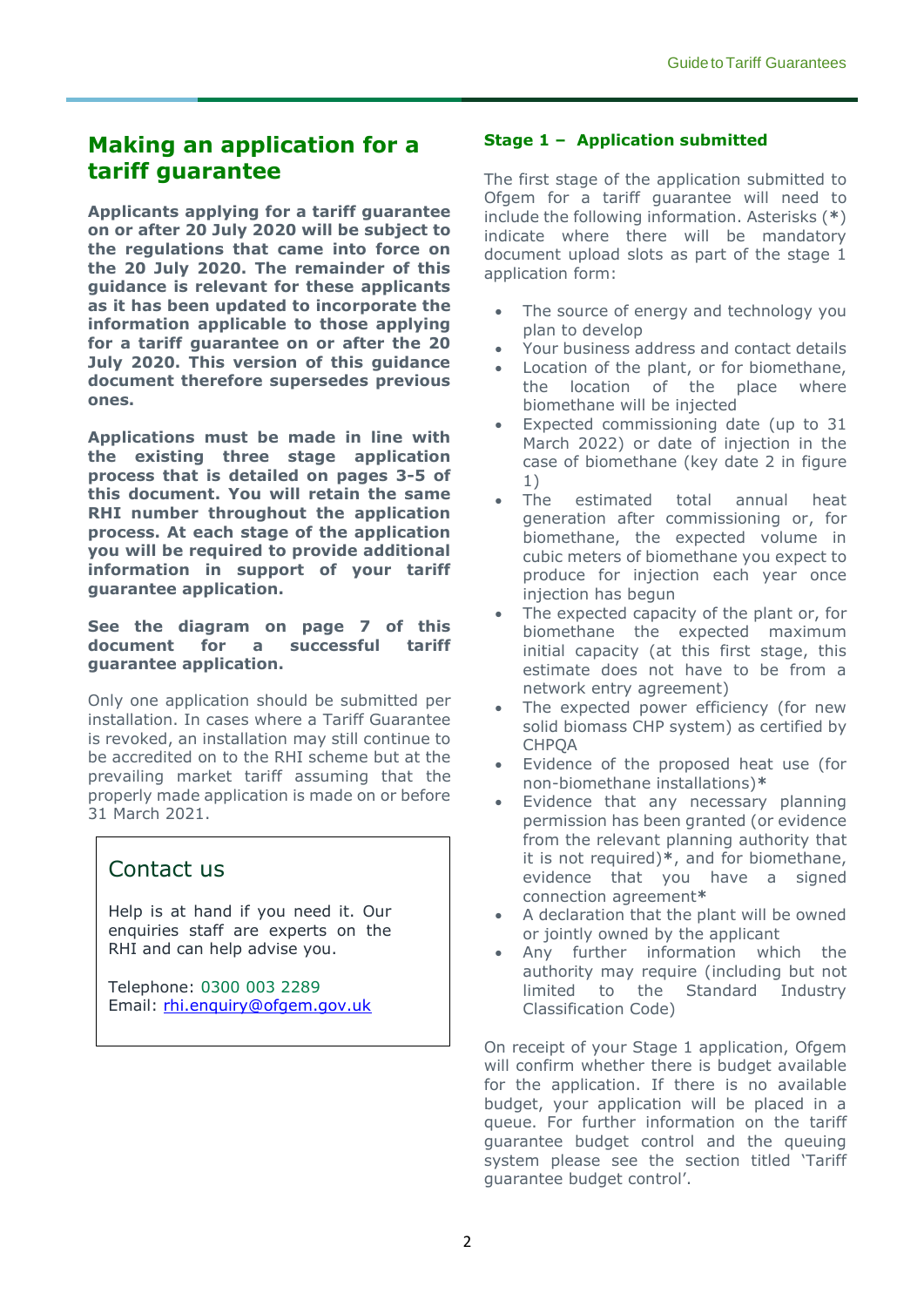## **Making an application for a tariff guarantee**

**Applicants applying for a tariff guarantee on or after 20 July 2020 will be subject to the regulations that came into force on the 20 July 2020. The remainder of this guidance is relevant for these applicants as it has been updated to incorporate the information applicable to those applying for a tariff guarantee on or after the 20 July 2020. This version of this guidance document therefore supersedes previous ones.** 

**Applications must be made in line with the existing three stage application process that is detailed on pages 3-5 of this document. You will retain the same RHI number throughout the application process. At each stage of the application you will be required to provide additional information in support of your tariff guarantee application.** 

#### **See the diagram on page 7 of this document for a successful tariff guarantee application.**

Only one application should be submitted per installation. In cases where a Tariff Guarantee is revoked, an installation may still continue to be accredited on to the RHI scheme but at the prevailing market tariff assuming that the properly made application is made on or before 31 March 2021.

## Contact us

Help is at hand if you need it. Our enquiries staff are experts on the RHI and can help advise you.

Telephone: 0300 003 2289 Email: [rhi.enquiry@ofgem.gov.uk](mailto:rhi.enquiry@ofgem.gov.uk)

#### **Stage 1 – Application submitted**

The first stage of the application submitted to Ofgem for a tariff guarantee will need to include the following information. Asterisks (**\***) indicate where there will be mandatory document upload slots as part of the stage 1 application form:

- The source of energy and technology you plan to develop
- Your business address and contact details
- Location of the plant, or for biomethane, the location of the place where biomethane will be injected
- Expected commissioning date (up to 31 March 2022) or date of injection in the case of biomethane (key date 2 in figure 1)<br>The
- estimated total annual heat generation after commissioning or, for biomethane, the expected volume in cubic meters of biomethane you expect to produce for injection each year once injection has begun
- The expected capacity of the plant or, for biomethane the expected maximum initial capacity (at this first stage, this estimate does not have to be from a network entry agreement)
- The expected power efficiency (for new solid biomass CHP system) as certified by **CHPOA**
- Evidence of the proposed heat use (for non-biomethane installations)**\***
- Evidence that any necessary planning permission has been granted (or evidence from the relevant planning authority that it is not required)**\***, and for biomethane, evidence that you have a signed connection agreement**\***
- A declaration that the plant will be owned or jointly owned by the applicant
- Any further information which the authority may require (including but not limited to the Standard Industry Classification Code)

On receipt of your Stage 1 application, Ofgem will confirm whether there is budget available for the application. If there is no available budget, your application will be placed in a queue. For further information on the tariff guarantee budget control and the queuing system please see the section titled 'Tariff guarantee budget control'.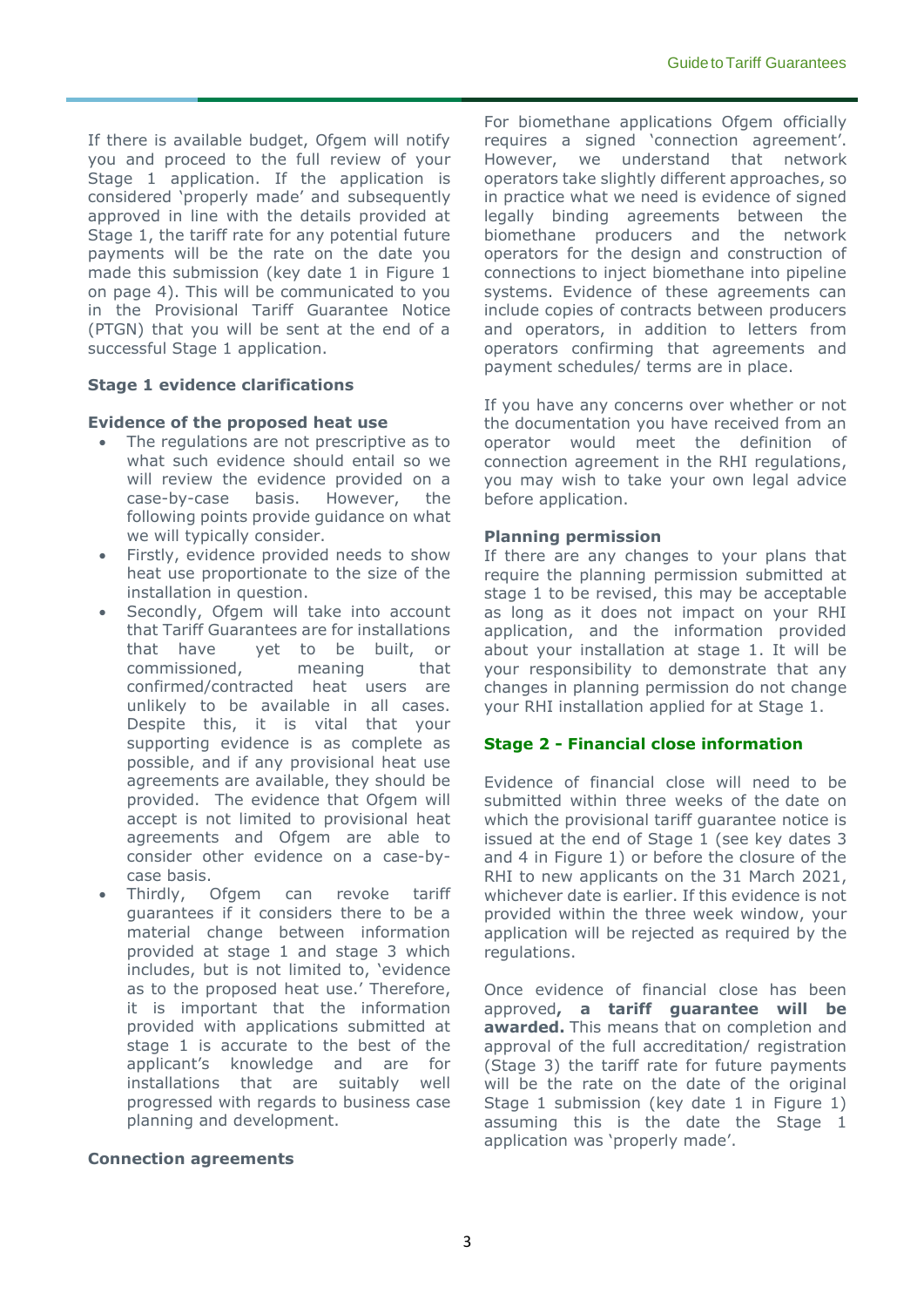If there is available budget, Ofgem will notify you and proceed to the full review of your Stage 1 application. If the application is considered 'properly made' and subsequently approved in line with the details provided at Stage 1, the tariff rate for any potential future payments will be the rate on the date you made this submission (key date 1 in Figure 1 on page 4). This will be communicated to you in the Provisional Tariff Guarantee Notice (PTGN) that you will be sent at the end of a successful Stage 1 application.

#### **Stage 1 evidence clarifications**

#### **Evidence of the proposed heat use**

- The regulations are not prescriptive as to what such evidence should entail so we will review the evidence provided on a case-by-case basis. However, the following points provide guidance on what we will typically consider.
- Firstly, evidence provided needs to show heat use proportionate to the size of the installation in question.
- Secondly, Ofgem will take into account that Tariff Guarantees are for installations that have yet to be built, or commissioned, meaning that confirmed/contracted heat users are unlikely to be available in all cases. Despite this, it is vital that your supporting evidence is as complete as possible, and if any provisional heat use agreements are available, they should be provided. The evidence that Ofgem will accept is not limited to provisional heat agreements and Ofgem are able to consider other evidence on a case-bycase basis.
- Thirdly, Ofgem can revoke tariff guarantees if it considers there to be a material change between information provided at stage 1 and stage 3 which includes, but is not limited to, 'evidence as to the proposed heat use.' Therefore, it is important that the information provided with applications submitted at stage 1 is accurate to the best of the applicant's knowledge and are for installations that are suitably well progressed with regards to business case planning and development.

#### **Connection agreements**

For biomethane applications Ofgem officially requires a signed 'connection agreement'. However, we understand that network operators take slightly different approaches, so in practice what we need is evidence of signed legally binding agreements between the biomethane producers and the network operators for the design and construction of connections to inject biomethane into pipeline systems. Evidence of these agreements can include copies of contracts between producers and operators, in addition to letters from operators confirming that agreements and payment schedules/ terms are in place.

If you have any concerns over whether or not the documentation you have received from an operator would meet the definition of connection agreement in the RHI regulations, you may wish to take your own legal advice before application.

#### **Planning permission**

If there are any changes to your plans that require the planning permission submitted at stage 1 to be revised, this may be acceptable as long as it does not impact on your RHI application, and the information provided about your installation at stage 1. It will be your responsibility to demonstrate that any changes in planning permission do not change your RHI installation applied for at Stage 1.

#### **Stage 2 - Financial close information**

Evidence of financial close will need to be submitted within three weeks of the date on which the provisional tariff guarantee notice is issued at the end of Stage 1 (see key dates 3 and 4 in Figure 1) or before the closure of the RHI to new applicants on the 31 March 2021, whichever date is earlier. If this evidence is not provided within the three week window, your application will be rejected as required by the regulations.

Once evidence of financial close has been approved**, a tariff guarantee will be awarded.** This means that on completion and approval of the full accreditation/ registration (Stage 3) the tariff rate for future payments will be the rate on the date of the original Stage 1 submission (key date 1 in Figure 1) assuming this is the date the Stage 1 application was 'properly made'.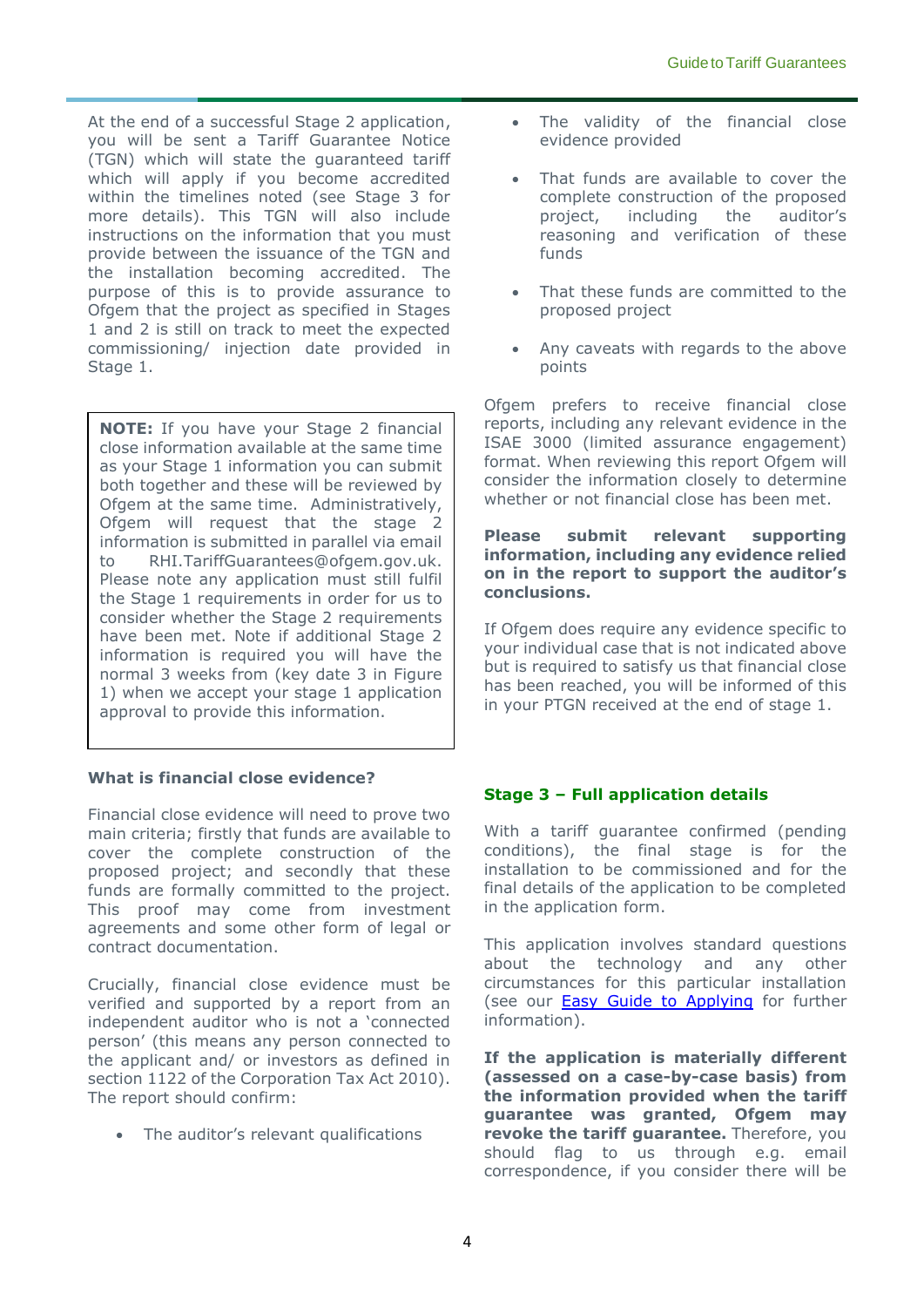At the end of a successful Stage 2 application, you will be sent a Tariff Guarantee Notice (TGN) which will state the guaranteed tariff which will apply if you become accredited within the timelines noted (see Stage 3 for more details). This TGN will also include instructions on the information that you must provide between the issuance of the TGN and the installation becoming accredited. The purpose of this is to provide assurance to Ofgem that the project as specified in Stages 1 and 2 is still on track to meet the expected commissioning/ injection date provided in Stage 1.

**NOTE:** If you have your Stage 2 financial close information available at the same time as your Stage 1 information you can submit both together and these will be reviewed by Ofgem at the same time. Administratively, Ofgem will request that the stage 2 information is submitted in parallel via email to [RHI.TariffGuarantees@ofgem.gov.uk.](mailto:RHI.TariffGuarantees@ofgem.gov.uk) Please note any application must still fulfil the Stage 1 requirements in order for us to consider whether the Stage 2 requirements have been met. Note if additional Stage 2 information is required you will have the normal 3 weeks from (key date 3 in Figure 1) when we accept your stage 1 application approval to provide this information.

#### **What is financial close evidence?**

Financial close evidence will need to prove two main criteria; firstly that funds are available to cover the complete construction of the proposed project; and secondly that these funds are formally committed to the project. This proof may come from investment agreements and some other form of legal or contract documentation.

Crucially, financial close evidence must be verified and supported by a report from an independent auditor who is not a 'connected person' (this means any person connected to the applicant and/ or investors as defined in section 1122 of the Corporation Tax Act 2010). The report should confirm:

• The auditor's relevant qualifications

- The validity of the financial close evidence provided
- That funds are available to cover the complete construction of the proposed project, including the auditor's reasoning and verification of these funds
- That these funds are committed to the proposed project
- Any caveats with regards to the above points

Ofgem prefers to receive financial close reports, including any relevant evidence in the ISAE 3000 (limited assurance engagement) format. When reviewing this report Ofgem will consider the information closely to determine whether or not financial close has been met.

#### **Please submit relevant supporting information, including any evidence relied on in the report to support the auditor's conclusions.**

If Ofgem does require any evidence specific to your individual case that is not indicated above but is required to satisfy us that financial close has been reached, you will be informed of this in your PTGN received at the end of stage 1.

#### **Stage 3 – Full application details**

With a tariff guarantee confirmed (pending conditions), the final stage is for the installation to be commissioned and for the final details of the application to be completed in the application form.

This application involves standard questions about the technology and any other circumstances for this particular installation (see our [Easy Guide to Applying](https://www.ofgem.gov.uk/system/files/docs/2018/05/easy_guide_to_applying.pdf) for further information).

**If the application is materially different (assessed on a case-by-case basis) from the information provided when the tariff guarantee was granted, Ofgem may revoke the tariff guarantee.** Therefore, you should flag to us through e.g. email correspondence, if you consider there will be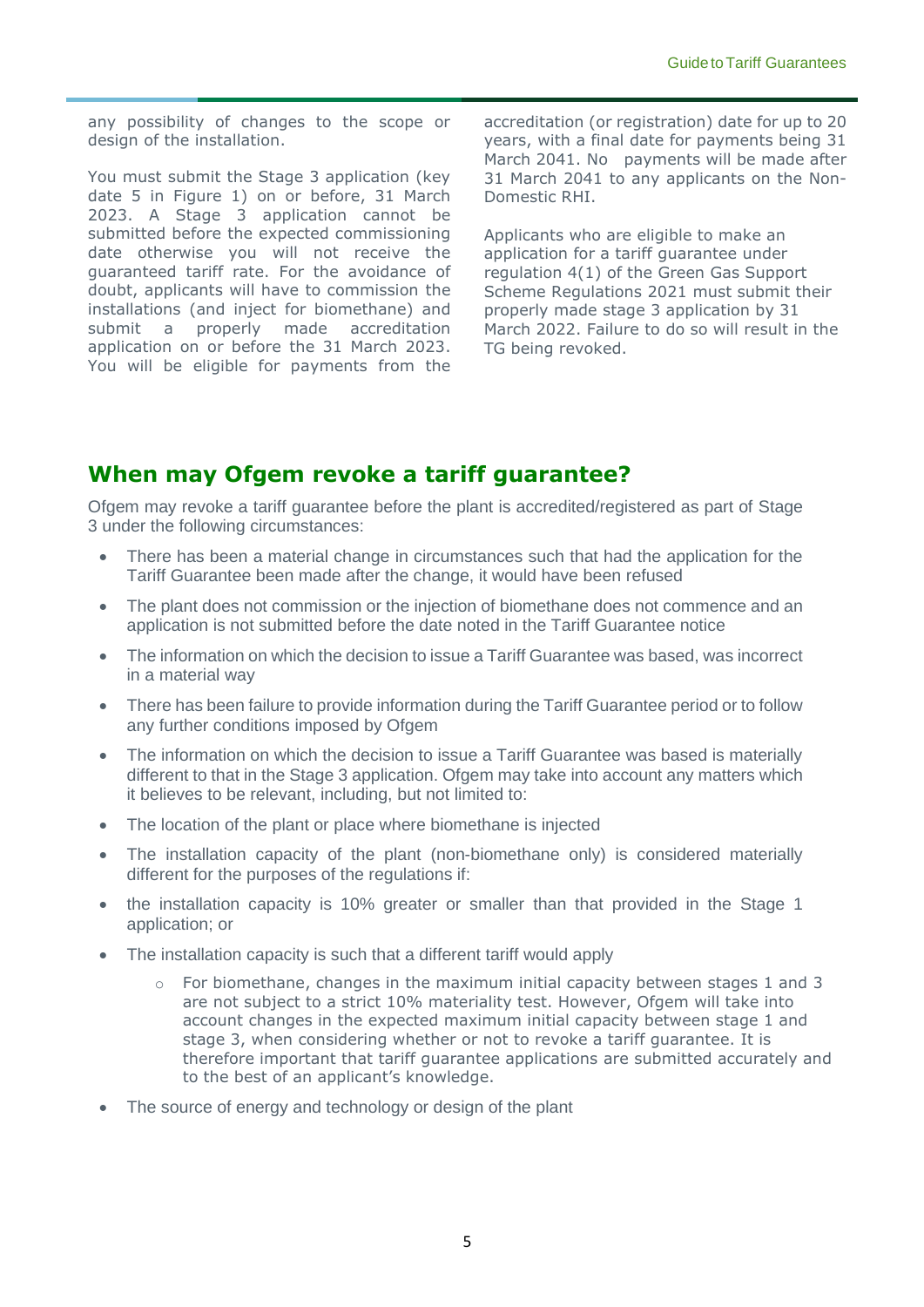any possibility of changes to the scope or design of the installation.

You must submit the Stage 3 application (key date 5 in Figure 1) on or before, 31 March 2023. A Stage 3 application cannot be submitted before the expected commissioning date otherwise you will not receive the guaranteed tariff rate. For the avoidance of doubt, applicants will have to commission the installations (and inject for biomethane) and submit a properly made accreditation application on or before the 31 March 2023. You will be eligible for payments from the

accreditation (or registration) date for up to 20 years, with a final date for payments being 31 March 2041. No payments will be made after 31 March 2041 to any applicants on the Non-Domestic RHI.

Applicants who are eligible to make an application for a tariff guarantee under regulation 4(1) of the Green Gas Support Scheme Regulations 2021 must submit their properly made stage 3 application by 31 March 2022. Failure to do so will result in the TG being revoked.

## **When may Ofgem revoke a tariff guarantee?**

Ofgem may revoke a tariff guarantee before the plant is accredited/registered as part of Stage 3 under the following circumstances:

- There has been a material change in circumstances such that had the application for the Tariff Guarantee been made after the change, it would have been refused
- The plant does not commission or the injection of biomethane does not commence and an application is not submitted before the date noted in the Tariff Guarantee notice
- The information on which the decision to issue a Tariff Guarantee was based, was incorrect in a material way
- There has been failure to provide information during the Tariff Guarantee period or to follow any further conditions imposed by Ofgem
- The information on which the decision to issue a Tariff Guarantee was based is materially different to that in the Stage 3 application. Ofgem may take into account any matters which it believes to be relevant, including, but not limited to:
- The location of the plant or place where biomethane is injected
- The installation capacity of the plant (non-biomethane only) is considered materially different for the purposes of the regulations if:
- the installation capacity is 10% greater or smaller than that provided in the Stage 1 application; or
- The installation capacity is such that a different tariff would apply
	- For biomethane, changes in the maximum initial capacity between stages 1 and 3 are not subject to a strict 10% materiality test. However, Ofgem will take into account changes in the expected maximum initial capacity between stage 1 and stage 3, when considering whether or not to revoke a tariff guarantee. It is therefore important that tariff guarantee applications are submitted accurately and to the best of an applicant's knowledge.
- The source of energy and technology or design of the plant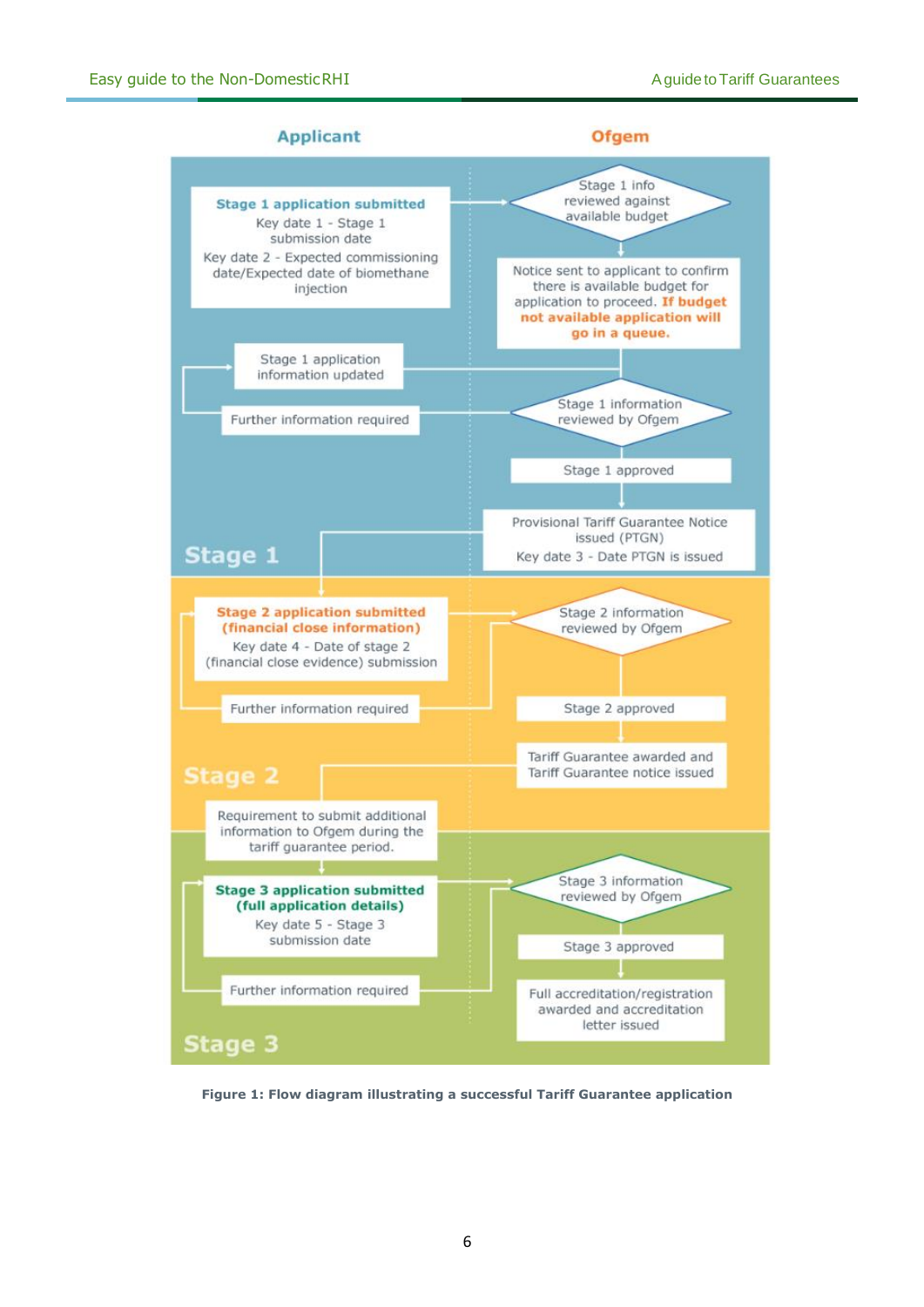

**Figure 1: Flow diagram illustrating a successful Tariff Guarantee application**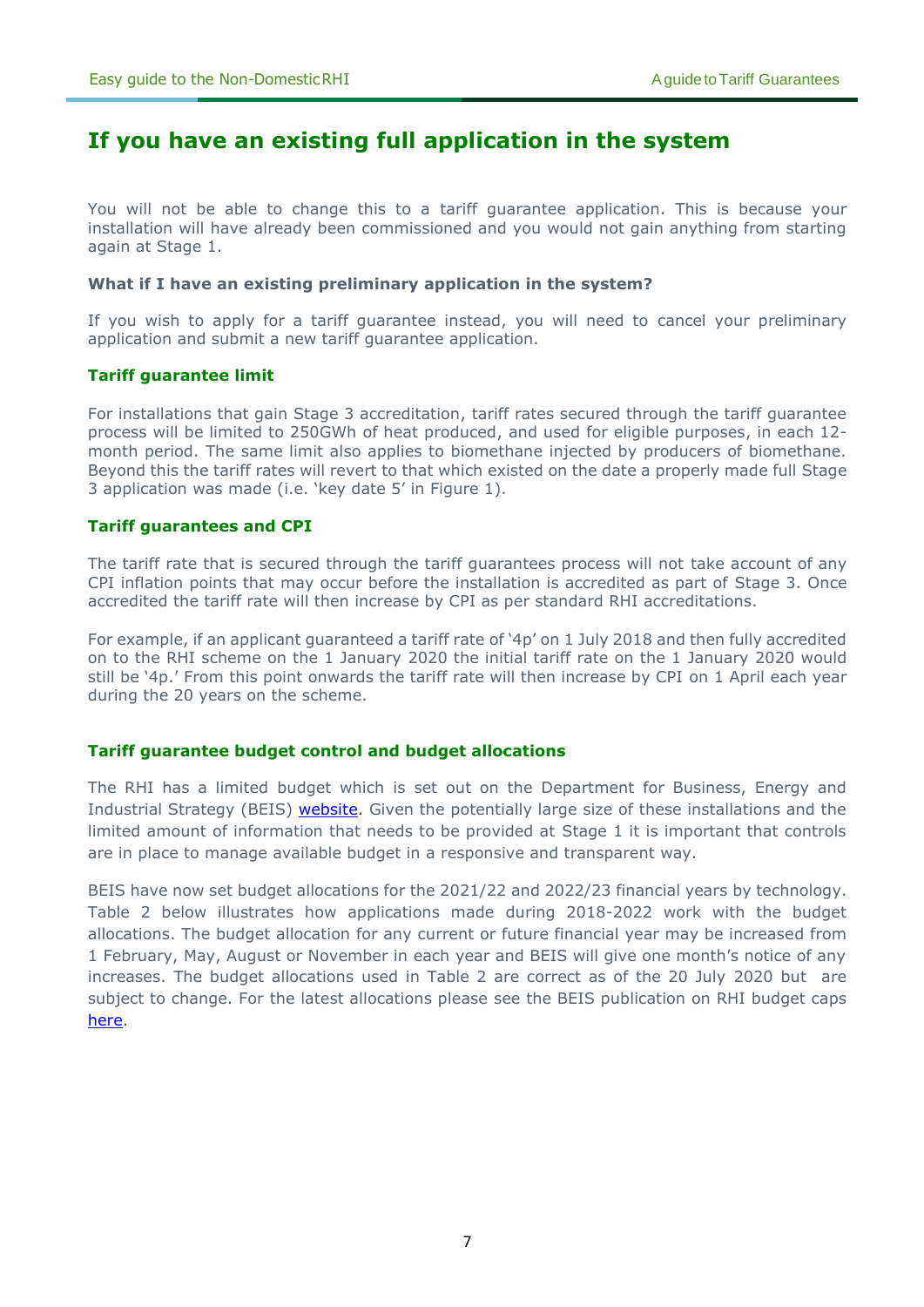## **If you have an existing full application in the system**

You will not be able to change this to a tariff guarantee application. This is because your installation will have already been commissioned and you would not gain anything from starting again at Stage 1.

#### **What if I have an existing preliminary application in the system?**

If you wish to apply for a tariff guarantee instead, you will need to cancel your preliminary application and submit a new tariff guarantee application.

#### **Tariff guarantee limit**

For installations that gain Stage 3 accreditation, tariff rates secured through the tariff guarantee process will be limited to 250GWh of heat produced, and used for eligible purposes, in each 12 month period. The same limit also applies to biomethane injected by producers of biomethane. Beyond this the tariff rates will revert to that which existed on the date a properly made full Stage 3 application was made (i.e. 'key date 5' in Figure 1).

#### **Tariff guarantees and CPI**

The tariff rate that is secured through the tariff guarantees process will not take account of any CPI inflation points that may occur before the installation is accredited as part of Stage 3. Once accredited the tariff rate will then increase by CPI as per standard RHI accreditations.

For example, if an applicant guaranteed a tariff rate of '4p' on 1 July 2018 and then fully accredited on to the RHI scheme on the 1 January 2020 the initial tariff rate on the 1 January 2020 would still be '4p.' From this point onwards the tariff rate will then increase by CPI on 1 April each year during the 20 years on the scheme.

#### **Tariff guarantee budget control and budget allocations**

The RHI has a limited budget which is set out on the Department for Business, Energy and Industrial Strategy (BEIS) [website.](https://www.gov.uk/government/publications/rhi-mechanism-for-budget-management-estimated-commitments) Given the potentially large size of these installations and the limited amount of information that needs to be provided at Stage 1 it is important that controls are in place to manage available budget in a responsive and transparent way.

BEIS have now set budget allocations for the 2021/22 and 2022/23 financial years by technology. Table 2 below illustrates how applications made during 2018-2022 work with the budget allocations. The budget allocation for any current or future financial year may be increased from 1 February, May, August or November in each year and BEIS will give one month's notice of any increases. The budget allocations used in Table 2 are correct as of the 20 July 2020 but are subject to change. For the latest allocations please see the BEIS publication on RHI budget caps [here.](https://www.gov.uk/government/publications/rhi-mechanism-for-budget-management-estimated-commitments)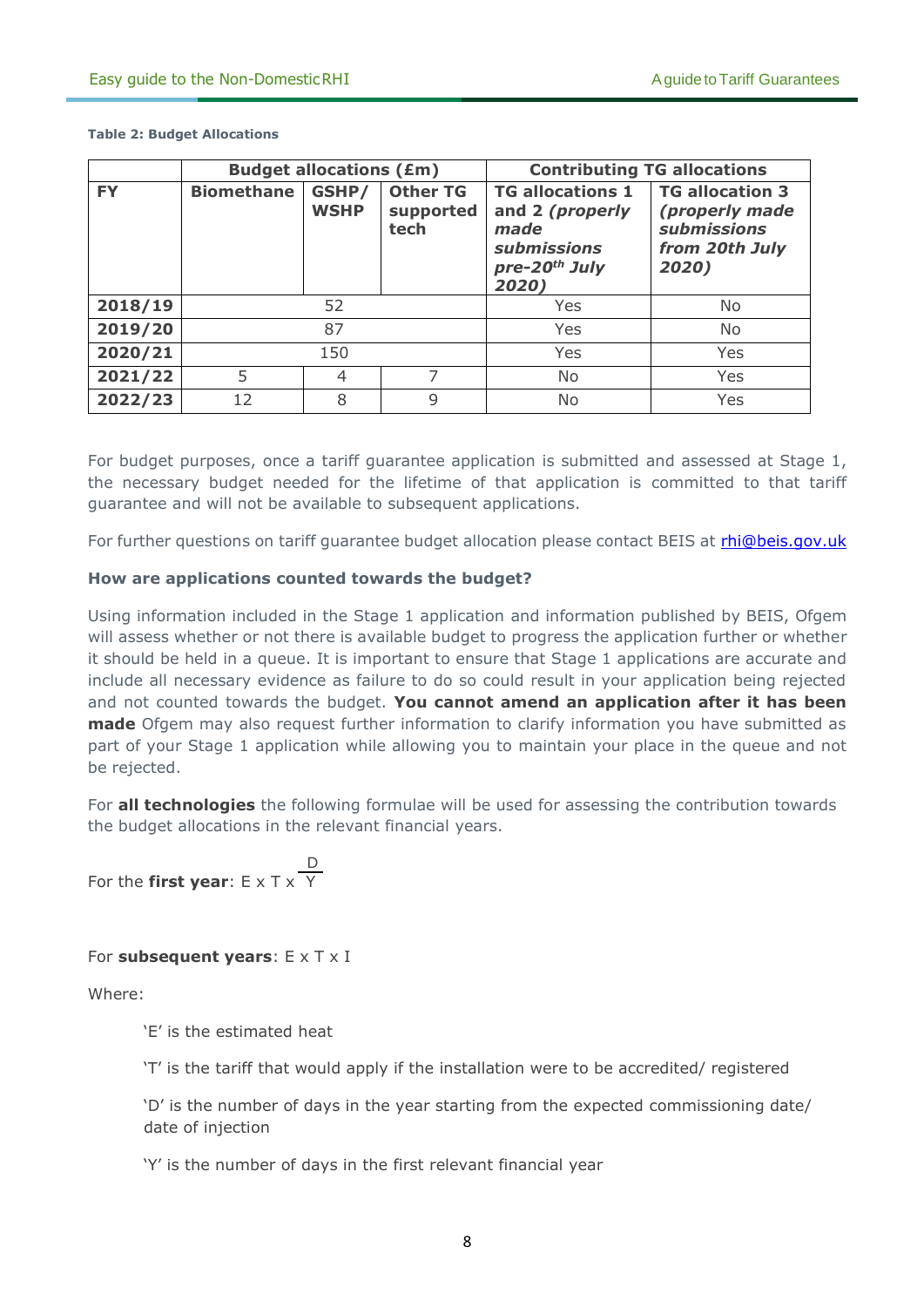|           |                   | <b>Budget allocations (£m)</b> |                                      | <b>Contributing TG allocations</b>                                                                             |                                                                                           |  |  |  |
|-----------|-------------------|--------------------------------|--------------------------------------|----------------------------------------------------------------------------------------------------------------|-------------------------------------------------------------------------------------------|--|--|--|
| <b>FY</b> | <b>Biomethane</b> | GSHP/<br><b>WSHP</b>           | <b>Other TG</b><br>supported<br>tech | <b>TG allocations 1</b><br>and 2 (properly<br>made<br><b>submissions</b><br>pre-20 <sup>th</sup> July<br>2020) | <b>TG allocation 3</b><br>(properly made<br><b>submissions</b><br>from 20th July<br>2020) |  |  |  |
| 2018/19   |                   | 52                             |                                      | Yes                                                                                                            | No                                                                                        |  |  |  |
| 2019/20   |                   | 87                             |                                      | Yes                                                                                                            | No                                                                                        |  |  |  |
| 2020/21   |                   | 150                            |                                      | Yes                                                                                                            | Yes                                                                                       |  |  |  |
| 2021/22   | 5                 | 4                              | 7                                    | No                                                                                                             | Yes                                                                                       |  |  |  |
| 2022/23   | 12                | 8                              | 9                                    | No                                                                                                             | Yes                                                                                       |  |  |  |

**Table 2: Budget Allocations**

For budget purposes, once a tariff guarantee application is submitted and assessed at Stage 1, the necessary budget needed for the lifetime of that application is committed to that tariff guarantee and will not be available to subsequent applications.

For further questions on tariff guarantee budget allocation please contact BEIS at *[rhi@beis.gov.uk](mailto:rhi@beis.gov.uk)* 

#### **How are applications counted towards the budget?**

Using information included in the Stage 1 application and information published by BEIS, Ofgem will assess whether or not there is available budget to progress the application further or whether it should be held in a queue. It is important to ensure that Stage 1 applications are accurate and include all necessary evidence as failure to do so could result in your application being rejected and not counted towards the budget. **You cannot amend an application after it has been made** Ofgem may also request further information to clarify information you have submitted as part of your Stage 1 application while allowing you to maintain your place in the queue and not be rejected.

For **all technologies** the following formulae will be used for assessing the contribution towards the budget allocations in the relevant financial years.

 D For the **first year**: E x T x Y

#### For **subsequent years**: E x T x I

Where:

'E' is the estimated heat

'T' is the tariff that would apply if the installation were to be accredited/ registered

'D' is the number of days in the year starting from the expected commissioning date/ date of injection

'Y' is the number of days in the first relevant financial year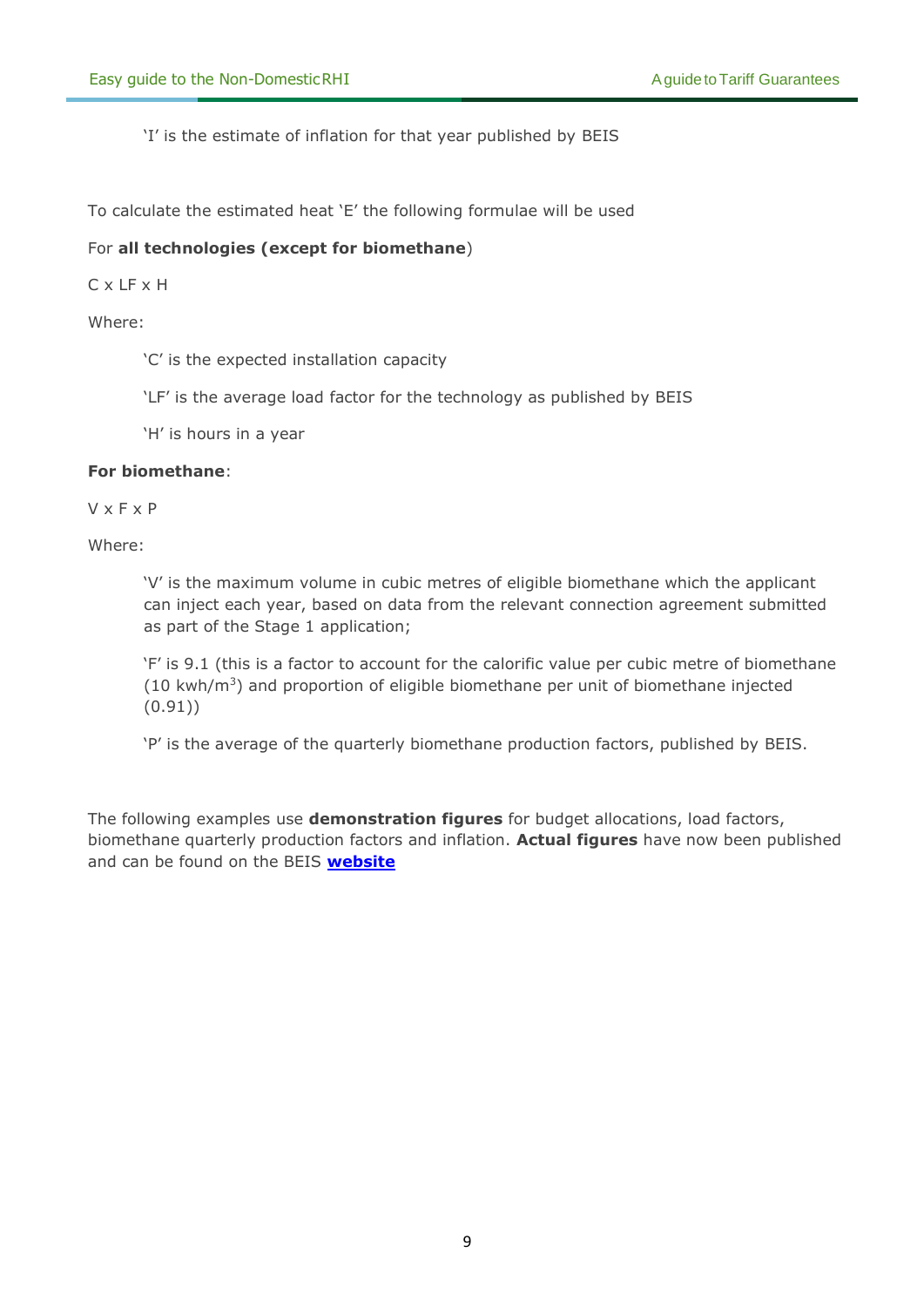'I' is the estimate of inflation for that year published by BEIS

To calculate the estimated heat 'E' the following formulae will be used

#### For **all technologies (except for biomethane**)

C x LF x H

Where:

'C' is the expected installation capacity

'LF' is the average load factor for the technology as published by BEIS

'H' is hours in a year

#### **For biomethane**:

V x F x P

Where:

'V' is the maximum volume in cubic metres of eligible biomethane which the applicant can inject each year, based on data from the relevant connection agreement submitted as part of the Stage 1 application;

'F' is 9.1 (this is a factor to account for the calorific value per cubic metre of biomethane  $(10 \text{ kWh/m}^3)$  and proportion of eligible biomethane per unit of biomethane injected (0.91))

'P' is the average of the quarterly biomethane production factors, published by BEIS.

The following examples use **demonstration figures** for budget allocations, load factors, biomethane quarterly production factors and inflation. **Actual figures** have now been published and can be found on the BEIS **[website](https://www.gov.uk/government/publications/rhi-mechanism-for-budget-management-estimated-commitments)**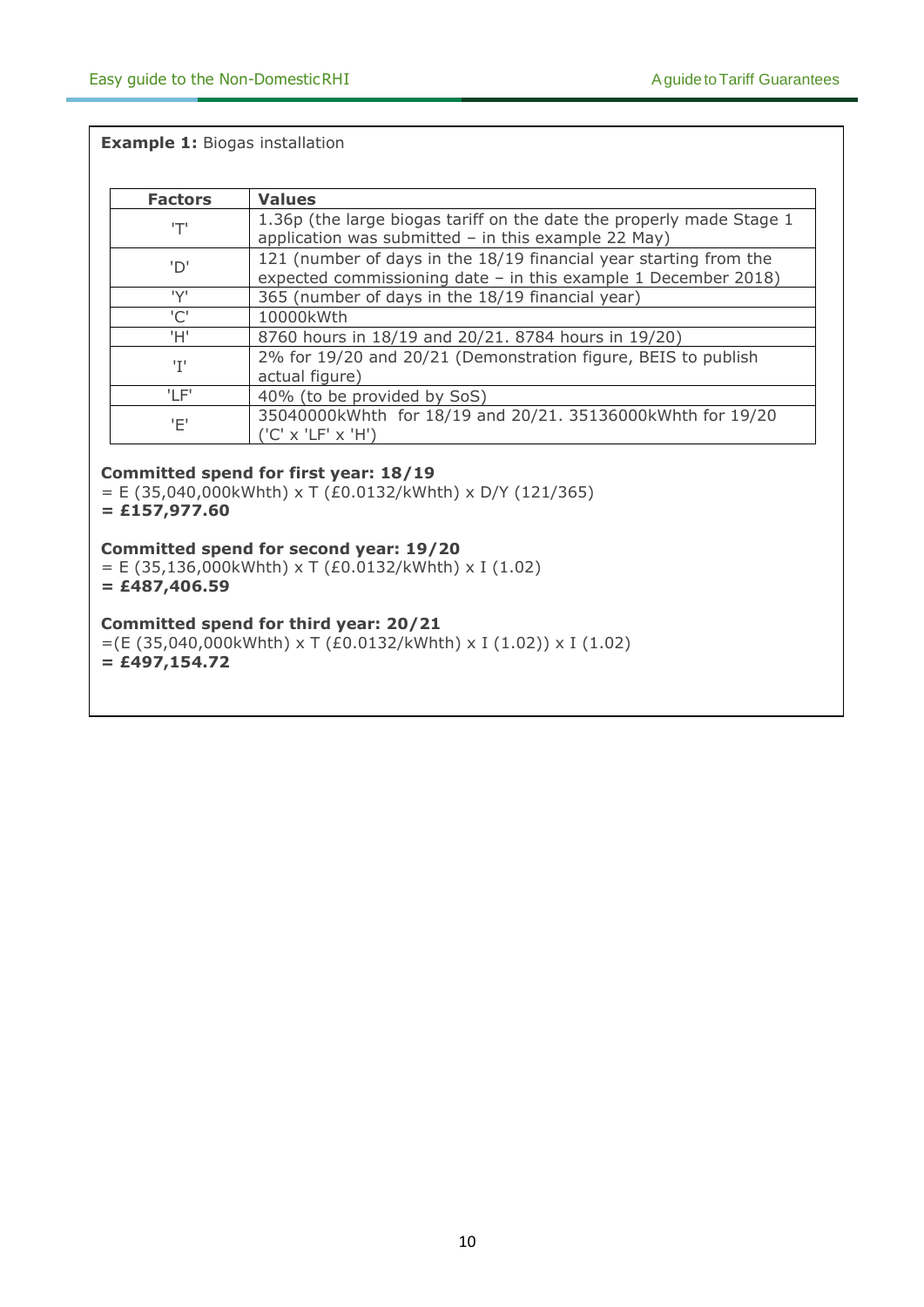#### **Example 1:** Biogas installation

| <b>Factors</b> | <b>Values</b>                                                                                                                         |
|----------------|---------------------------------------------------------------------------------------------------------------------------------------|
| 'T'            | 1.36p (the large biogas tariff on the date the properly made Stage 1<br>application was submitted $-$ in this example 22 May)         |
| 'D'            | 121 (number of days in the 18/19 financial year starting from the<br>expected commissioning date $-$ in this example 1 December 2018) |
| 'V'            | 365 (number of days in the 18/19 financial year)                                                                                      |
| 'C'            | 10000kWth                                                                                                                             |
| 'H'            | 8760 hours in 18/19 and 20/21. 8784 hours in 19/20)                                                                                   |
| 'T'            | 2% for 19/20 and 20/21 (Demonstration figure, BEIS to publish<br>actual figure)                                                       |
| 'I F'          | 40% (to be provided by SoS)                                                                                                           |
| 'Ε'            | 35040000kWhth for 18/19 and 20/21. 35136000kWhth for 19/20<br>('C' x 'LF' x 'H')                                                      |

#### **Committed spend for first year: 18/19**

 $=$  E (35,040,000kWhth) x T (£0.0132/kWhth) x D/Y (121/365) **= £157,977.60**

**Committed spend for second year: 19/20**

 $= E (35,136,000kWhth) \times T (£0.0132/kWhth) \times I (1.02)$ **= £487,406.59**

#### **Committed spend for third year: 20/21**

 $=(E (35,040,000kWhth) \times T (E0.0132/kWhth) \times I (1.02)) \times I (1.02)$ **= £497,154.72**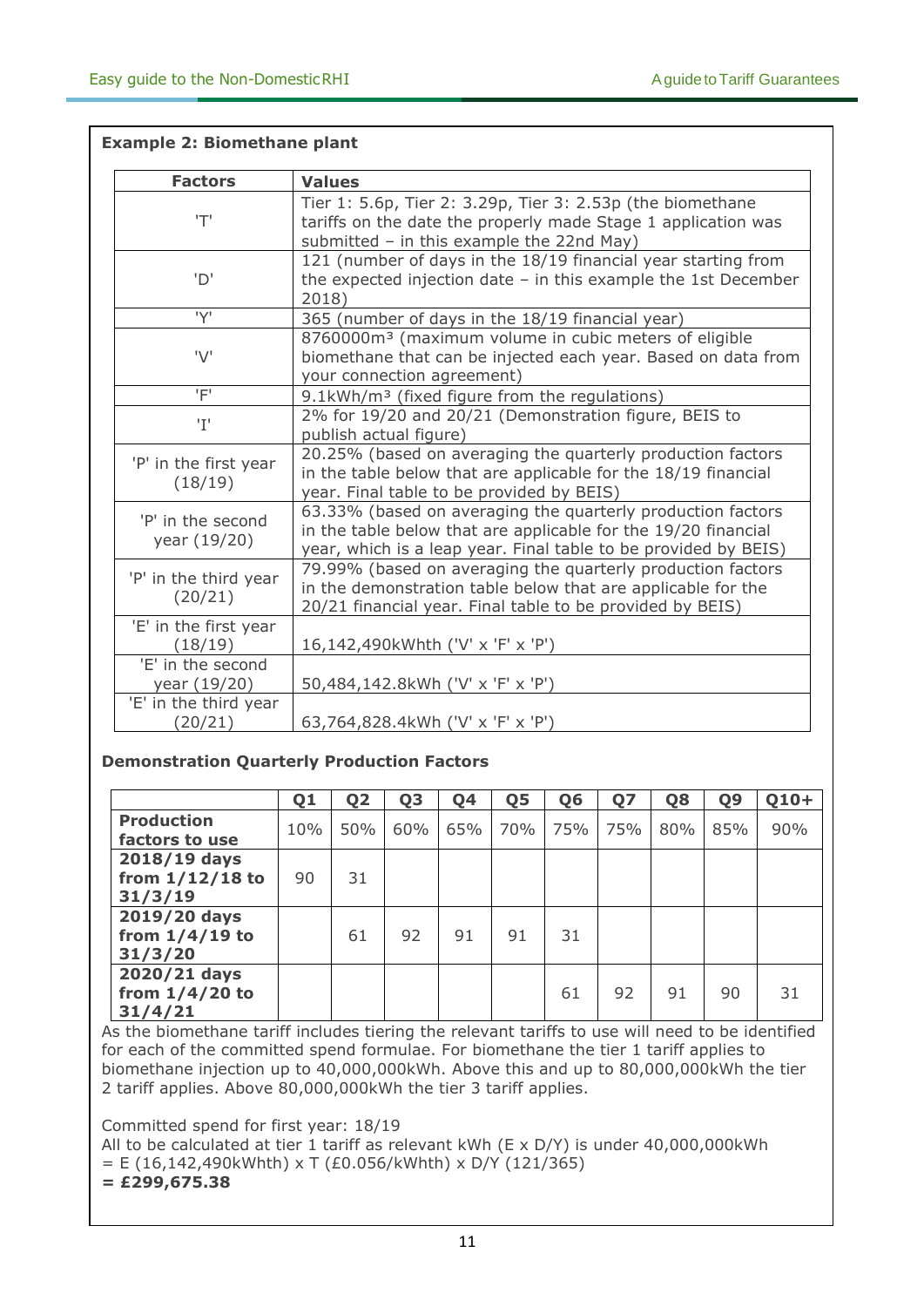| <b>Factors</b>                    | <b>Values</b>                                                                                                                                                                                    |
|-----------------------------------|--------------------------------------------------------------------------------------------------------------------------------------------------------------------------------------------------|
| 'T'                               | Tier 1: 5.6p, Tier 2: 3.29p, Tier 3: 2.53p (the biomethane<br>tariffs on the date the properly made Stage 1 application was<br>submitted - in this example the 22nd May)                         |
| 'D'                               | 121 (number of days in the 18/19 financial year starting from<br>the expected injection date $-$ in this example the 1st December<br>2018)                                                       |
| 'Y'                               | 365 (number of days in the 18/19 financial year)                                                                                                                                                 |
| 'V'                               | 8760000m <sup>3</sup> (maximum volume in cubic meters of eligible<br>biomethane that can be injected each year. Based on data from<br>your connection agreement)                                 |
| 'F'                               | 9.1kWh/m <sup>3</sup> (fixed figure from the regulations)                                                                                                                                        |
| 'T'                               | 2% for 19/20 and 20/21 (Demonstration figure, BEIS to<br>publish actual figure)                                                                                                                  |
| 'P' in the first year<br>(18/19)  | 20.25% (based on averaging the quarterly production factors<br>in the table below that are applicable for the 18/19 financial<br>year. Final table to be provided by BEIS)                       |
| 'P' in the second<br>year (19/20) | 63.33% (based on averaging the quarterly production factors<br>in the table below that are applicable for the 19/20 financial<br>year, which is a leap year. Final table to be provided by BEIS) |
| 'P' in the third year<br>(20/21)  | 79.99% (based on averaging the quarterly production factors<br>in the demonstration table below that are applicable for the<br>20/21 financial year. Final table to be provided by BEIS)         |
| 'E' in the first year<br>(18/19)  | 16,142,490kWhth ('V' x 'F' x 'P')                                                                                                                                                                |
| 'E' in the second<br>year (19/20) | 50,484,142.8kWh ('V' x 'F' x 'P')                                                                                                                                                                |
| 'E' in the third year<br>(20/21)  | 63,764,828.4kWh ('V' x 'F' x 'P')                                                                                                                                                                |

#### **Example 2: Biomethane plant**

#### **Demonstration Quarterly Production Factors**

|                                              | Q1  | Q <sub>2</sub> | Q <sub>3</sub> | Q4  | Q5  | Q <sub>6</sub> | Q7  | Q8  | Q <sub>9</sub> | $Q10+$ |
|----------------------------------------------|-----|----------------|----------------|-----|-----|----------------|-----|-----|----------------|--------|
| <b>Production</b><br>factors to use          | 10% | 50%            | 60%            | 65% | 70% | 75%            | 75% | 80% | 85%            | 90%    |
| 2018/19 days<br>from $1/12/18$ to<br>31/3/19 | 90  | 31             |                |     |     |                |     |     |                |        |
| 2019/20 days<br>from $1/4/19$ to<br>31/3/20  |     | 61             | 92             | 91  | 91  | 31             |     |     |                |        |
| 2020/21 days<br>from $1/4/20$ to<br>31/4/21  |     |                |                |     |     | 61             | 92  | 91  | 90             | 31     |

As the biomethane tariff includes tiering the relevant tariffs to use will need to be identified for each of the committed spend formulae. For biomethane the tier 1 tariff applies to biomethane injection up to 40,000,000kWh. Above this and up to 80,000,000kWh the tier 2 tariff applies. Above 80,000,000kWh the tier 3 tariff applies.

Committed spend for first year: 18/19

All to be calculated at tier 1 tariff as relevant kWh ( $E \times D/Y$ ) is under 40,000,000kWh  $= E (16, 142, 490kWhth) \times T (£0.056/kWhth) \times D/Y (121/365)$ 

#### **= £299,675.38**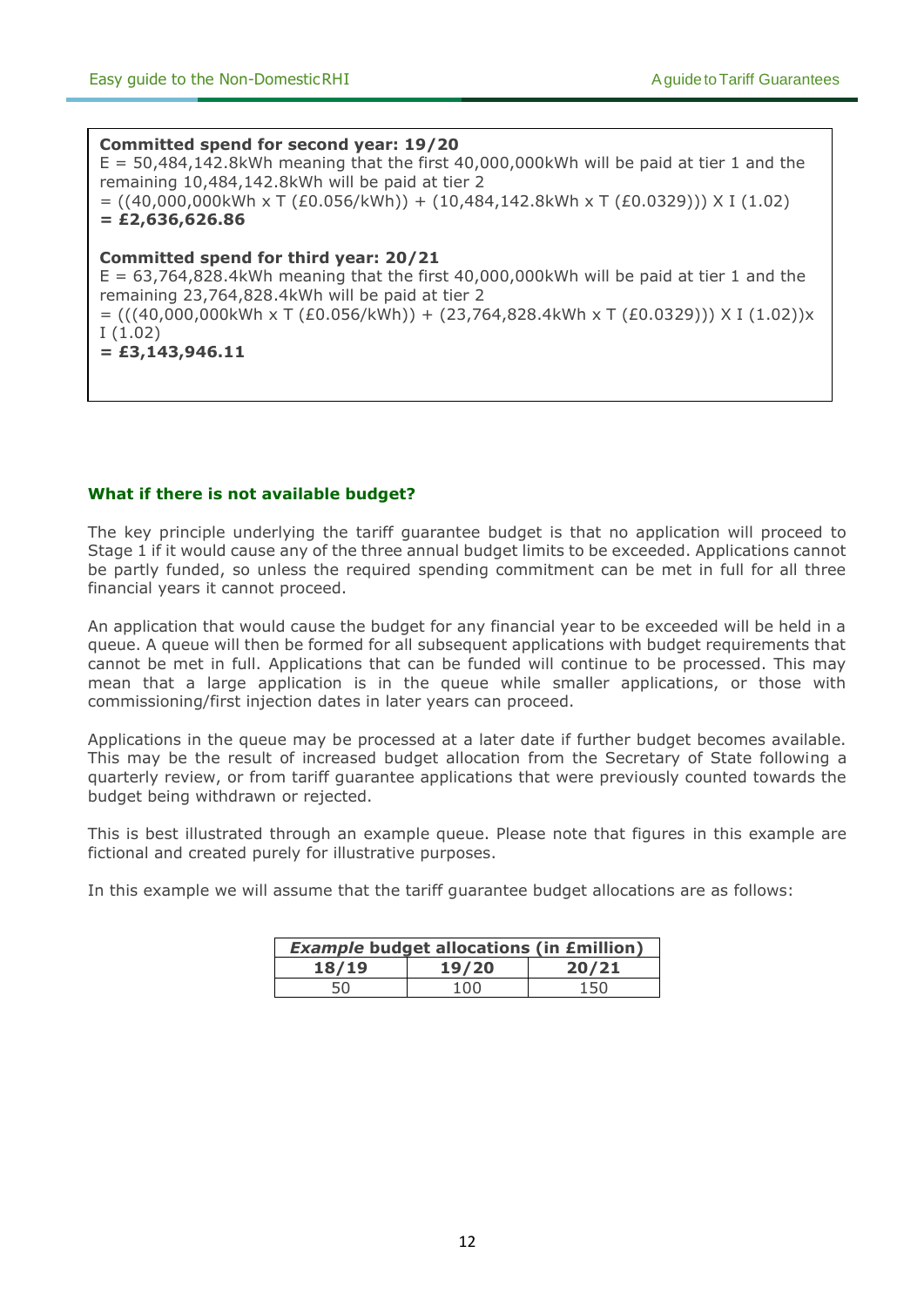#### **Committed spend for second year: 19/20**

 $E = 50,484,142.8$  kWh meaning that the first 40,000,000 kWh will be paid at tier 1 and the remaining 10,484,142.8kWh will be paid at tier 2  $= ((40,000,000kWh \times T (£0.056/kWh)) + (10,484,142.8kWh \times T (£0.0329))) \times I (1.02)$ **= £2,636,626.86**

#### **Committed spend for third year: 20/21**

 $E = 63,764,828.4$  kWh meaning that the first 40,000,000 kWh will be paid at tier 1 and the remaining 23,764,828.4kWh will be paid at tier 2  $= (((40,000,000kWh \times T (£0.056/kWh)) + (23,764,828.4kWh \times T (£0.0329))) \times I (1.02))x$ I (1.02) **= £3,143,946.11** 

#### **What if there is not available budget?**

The key principle underlying the tariff guarantee budget is that no application will proceed to Stage 1 if it would cause any of the three annual budget limits to be exceeded. Applications cannot be partly funded, so unless the required spending commitment can be met in full for all three financial years it cannot proceed.

An application that would cause the budget for any financial year to be exceeded will be held in a queue. A queue will then be formed for all subsequent applications with budget requirements that cannot be met in full. Applications that can be funded will continue to be processed. This may mean that a large application is in the queue while smaller applications, or those with commissioning/first injection dates in later years can proceed.

Applications in the queue may be processed at a later date if further budget becomes available. This may be the result of increased budget allocation from the Secretary of State following a quarterly review, or from tariff guarantee applications that were previously counted towards the budget being withdrawn or rejected.

This is best illustrated through an example queue. Please note that figures in this example are fictional and created purely for illustrative purposes.

In this example we will assume that the tariff guarantee budget allocations are as follows:

| <b>Example budget allocations (in £million)</b> |       |       |  |  |  |  |  |  |  |
|-------------------------------------------------|-------|-------|--|--|--|--|--|--|--|
| 18/19                                           | 19/20 | 20/21 |  |  |  |  |  |  |  |
| 50                                              | 100   | 150   |  |  |  |  |  |  |  |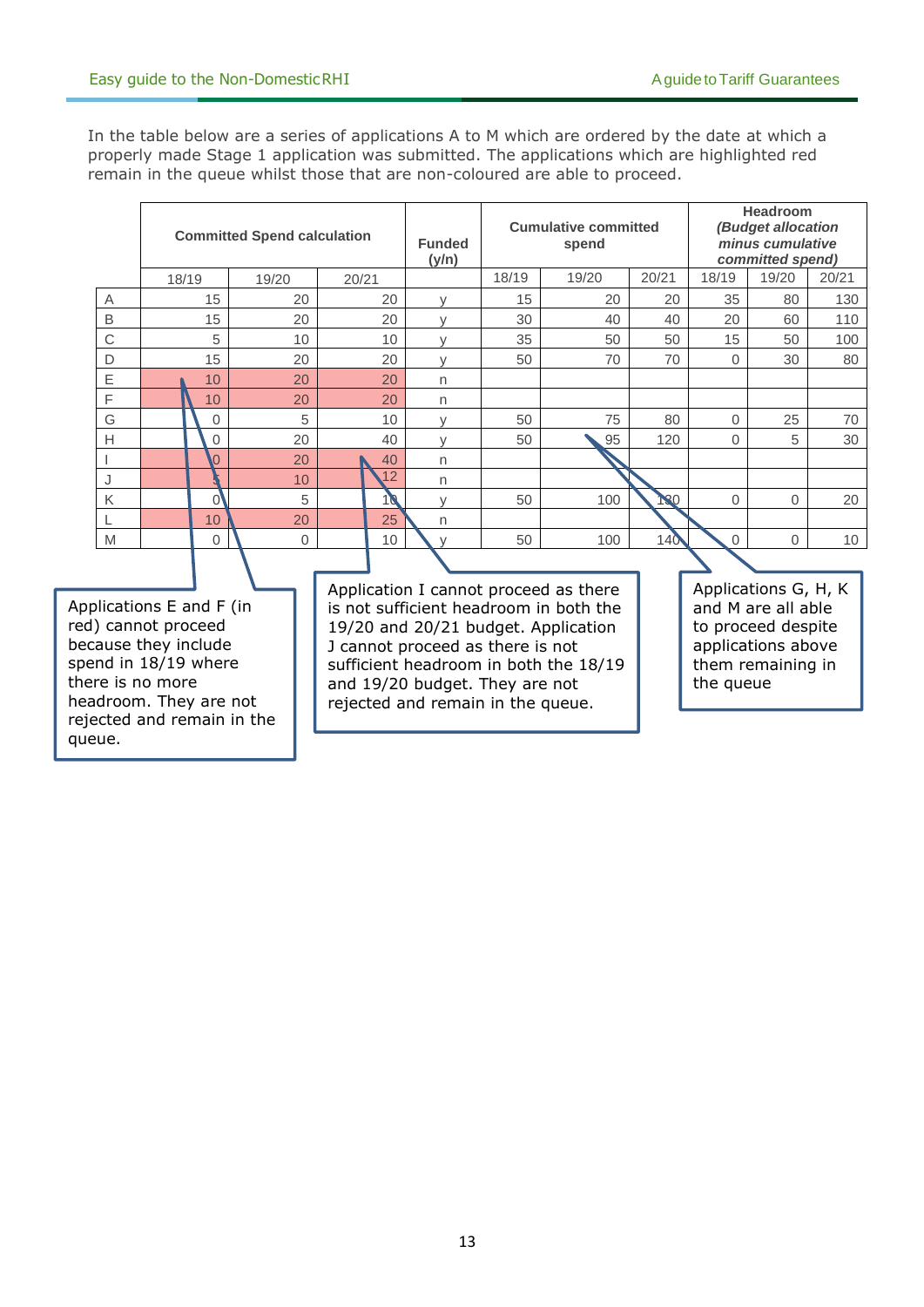queue.

In the table below are a series of applications A to M which are ordered by the date at which a properly made Stage 1 application was submitted. The applications which are highlighted red remain in the queue whilst those that are non-coloured are able to proceed.

|                                                                                                                                                                             | <b>Committed Spend calculation</b> |       |       | <b>Funded</b><br>(y/n)                                                                                                                                                                                                                                                     |       | <b>Cumulative committed</b><br>spend |       |                                                                                                                          | Headroom<br>(Budget allocation<br>minus cumulative<br>committed spend) |                 |  |
|-----------------------------------------------------------------------------------------------------------------------------------------------------------------------------|------------------------------------|-------|-------|----------------------------------------------------------------------------------------------------------------------------------------------------------------------------------------------------------------------------------------------------------------------------|-------|--------------------------------------|-------|--------------------------------------------------------------------------------------------------------------------------|------------------------------------------------------------------------|-----------------|--|
|                                                                                                                                                                             | 18/19                              | 19/20 | 20/21 |                                                                                                                                                                                                                                                                            | 18/19 | 19/20                                | 20/21 | 18/19                                                                                                                    | 19/20                                                                  | 20/21           |  |
| Α                                                                                                                                                                           | 15                                 | 20    | 20    | V                                                                                                                                                                                                                                                                          | 15    | 20                                   | 20    | 35                                                                                                                       | 80                                                                     | 130             |  |
| B                                                                                                                                                                           | 15                                 | 20    | 20    |                                                                                                                                                                                                                                                                            | 30    | 40                                   | 40    | 20                                                                                                                       | 60                                                                     | 110             |  |
| $\mathsf C$                                                                                                                                                                 | 5                                  | 10    | 10    | $\vee$                                                                                                                                                                                                                                                                     | 35    | 50                                   | 50    | 15                                                                                                                       | 50                                                                     | 100             |  |
| D                                                                                                                                                                           | 15                                 | 20    | 20    | $\vee$                                                                                                                                                                                                                                                                     | 50    | 70                                   | 70    | 0                                                                                                                        | 30                                                                     | 80              |  |
| $\mathsf E$                                                                                                                                                                 | 10                                 | 20    | 20    | n                                                                                                                                                                                                                                                                          |       |                                      |       |                                                                                                                          |                                                                        |                 |  |
| F                                                                                                                                                                           | 10                                 | 20    | 20    | n                                                                                                                                                                                                                                                                          |       |                                      |       |                                                                                                                          |                                                                        |                 |  |
| G                                                                                                                                                                           | 0                                  | 5     | 10    | $\vee$                                                                                                                                                                                                                                                                     | 50    | 75                                   | 80    | $\Omega$                                                                                                                 | 25                                                                     | 70              |  |
| $\overline{H}$                                                                                                                                                              | 0                                  | 20    | 40    | $\vee$                                                                                                                                                                                                                                                                     | 50    | 95                                   | 120   | 0                                                                                                                        | 5                                                                      | 30              |  |
|                                                                                                                                                                             | 0                                  | 20    | 40    | n                                                                                                                                                                                                                                                                          |       |                                      |       |                                                                                                                          |                                                                        |                 |  |
| J                                                                                                                                                                           |                                    | 10    | 12    | n                                                                                                                                                                                                                                                                          |       |                                      |       |                                                                                                                          |                                                                        |                 |  |
| Κ                                                                                                                                                                           | $\mathbf{0}$                       | 5     | 10    | $\vee$                                                                                                                                                                                                                                                                     | 50    | 100                                  | 130   | 0                                                                                                                        | $\Omega$                                                               | 20              |  |
|                                                                                                                                                                             | 10                                 | 20    | 25    | n                                                                                                                                                                                                                                                                          |       |                                      |       |                                                                                                                          |                                                                        |                 |  |
| M                                                                                                                                                                           | 0                                  | 0     | 10    |                                                                                                                                                                                                                                                                            | 50    | 100                                  | 140   | $\mathbf{0}$                                                                                                             | 0                                                                      | 10 <sup>1</sup> |  |
|                                                                                                                                                                             |                                    |       |       |                                                                                                                                                                                                                                                                            |       |                                      |       |                                                                                                                          |                                                                        |                 |  |
| Applications E and F (in<br>red) cannot proceed<br>because they include<br>spend in 18/19 where<br>there is no more<br>headroom. They are not<br>rejected and remain in the |                                    |       |       | Application I cannot proceed as there<br>is not sufficient headroom in both the<br>19/20 and 20/21 budget. Application<br>J cannot proceed as there is not<br>sufficient headroom in both the 18/19<br>and 19/20 budget. They are not<br>rejected and remain in the queue. |       |                                      |       | Applications G, H, K<br>and M are all able<br>to proceed despite<br>applications above<br>them remaining in<br>the queue |                                                                        |                 |  |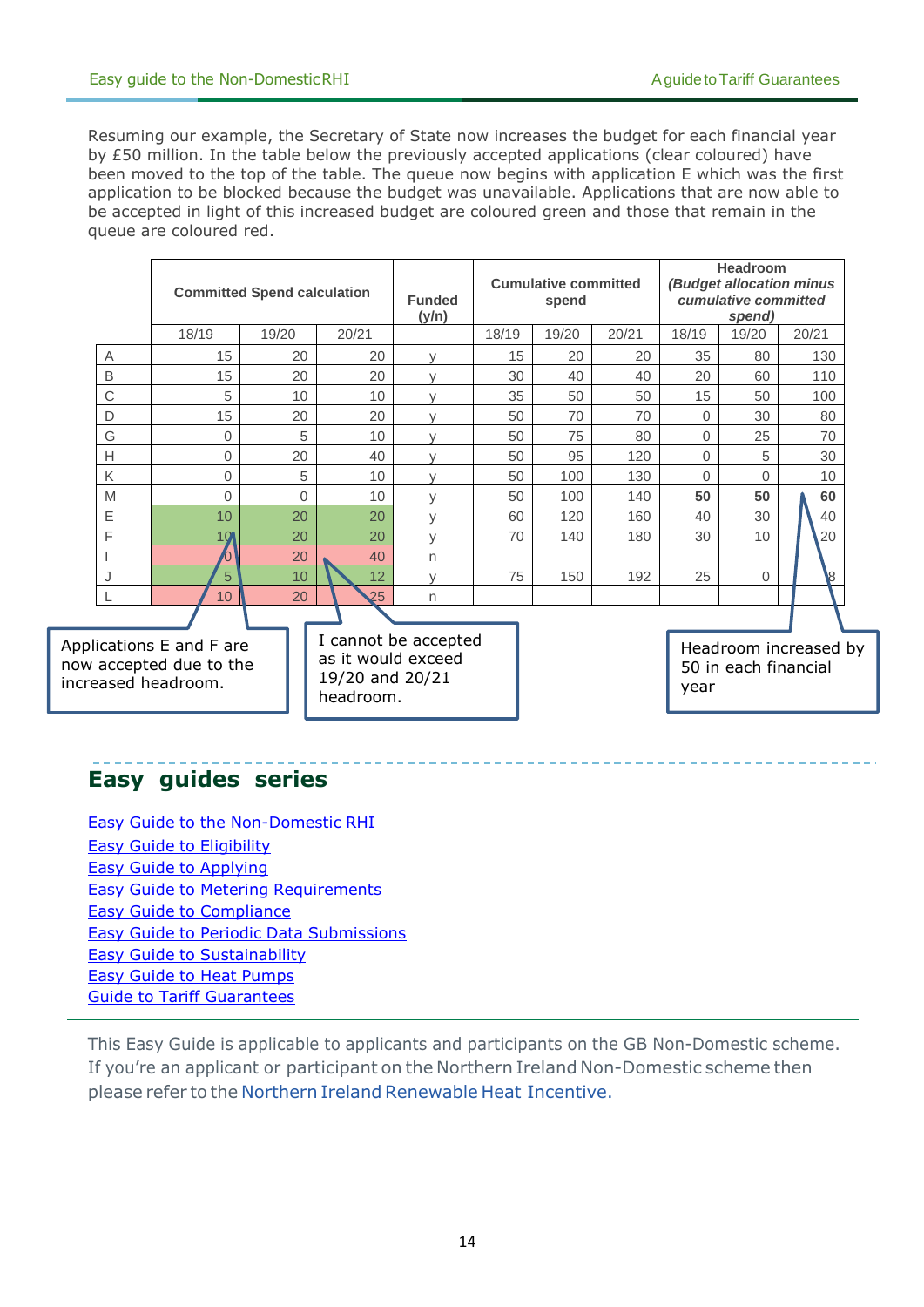Resuming our example, the Secretary of State now increases the budget for each financial year by £50 million. In the table below the previously accepted applications (clear coloured) have been moved to the top of the table. The queue now begins with application E which was the first application to be blocked because the budget was unavailable. Applications that are now able to be accepted in light of this increased budget are coloured green and those that remain in the queue are coloured red.

|                | <b>Committed Spend calculation</b> |          |       | <b>Funded</b><br>(y/n) | <b>Cumulative committed</b><br>spend |       |       |          | <b>Headroom</b><br>(Budget allocation minus<br>cumulative committed<br>spend) |       |  |
|----------------|------------------------------------|----------|-------|------------------------|--------------------------------------|-------|-------|----------|-------------------------------------------------------------------------------|-------|--|
|                | 18/19                              | 19/20    | 20/21 |                        | 18/19                                | 19/20 | 20/21 | 18/19    | 19/20                                                                         | 20/21 |  |
| A              | 15                                 | 20       | 20    | $\vee$                 | 15                                   | 20    | 20    | 35       | 80                                                                            | 130   |  |
| B              | 15                                 | 20       | 20    | $\mathcal{U}$          | 30                                   | 40    | 40    | 20       | 60                                                                            | 110   |  |
| $\mathsf C$    | 5                                  | 10       | 10    | $\mathcal{U}$          | 35                                   | 50    | 50    | 15       | 50                                                                            | 100   |  |
| D              | 15                                 | 20       | 20    |                        | 50                                   | 70    | 70    | $\Omega$ | 30                                                                            | 80    |  |
| G              | $\mathbf{0}$                       | 5        | 10    | $\mathcal{U}$          | 50                                   | 75    | 80    | $\Omega$ | 25                                                                            | 70    |  |
| Н              | $\mathbf 0$                        | 20       | 40    | $\vee$                 | 50                                   | 95    | 120   | 0        | 5                                                                             | 30    |  |
| Κ              | $\Omega$                           | 5        | 10    | $\vee$                 | 50                                   | 100   | 130   | $\Omega$ | $\Omega$                                                                      | 10    |  |
| M              | $\Omega$                           | $\Omega$ | 10    | $\vee$                 | 50                                   | 100   | 140   | 50       | 50                                                                            | 60    |  |
| Е              | 10                                 | 20       | 20    | $\vee$                 | 60                                   | 120   | 160   | 40       | 30                                                                            | 40    |  |
| $\overline{F}$ | 10                                 | 20       | 20    | $\vee$                 | 70                                   | 140   | 180   | 30       | 10                                                                            | 20    |  |
|                |                                    | 20       | 40    | $\mathsf{n}$           |                                      |       |       |          |                                                                               |       |  |
|                | 5                                  | 10       | 12    | $\vee$                 | 75                                   | 150   | 192   | 25       | $\Omega$                                                                      | 8     |  |
|                | 10 <sup>1</sup>                    | 20       | 25    | $\mathsf{n}$           |                                      |       |       |          |                                                                               |       |  |
|                |                                    |          |       |                        |                                      |       |       |          |                                                                               |       |  |

Applications E and F are now accepted due to the increased headroom.

I cannot be accepted as it would exceed 19/20 and 20/21 headroom.

Headroom increased by 50 in each financial year

## **Easy guides series**

Easy Guide to the [Non-Domestic](https://www.ofgem.gov.uk/publications-and-updates/easy-guide-non-domestic-rhi) RHI Easy Guide to [Eligibility](https://www.ofgem.gov.uk/publications-and-updates/easy-guide-eligibility-non-domestic-rhi) Easy Guide to [Applying](https://www.ofgem.gov.uk/publications-and-updates/easy-guide-applying-non-domestic-rhi) Easy Guide to Metering [Requirements](https://www.ofgem.gov.uk/publications-and-updates/easy-guide-metering-requirements-non-domestic-rhi) Easy Guide to [Compliance](https://www.ofgem.gov.uk/publications-and-updates/easy-guide-compliance-your-key-ensuring-future-non-domestic-rhi-payments) Easy Guide to Periodic Data [Submissions](https://www.ofgem.gov.uk/publications-and-updates/easy-guide-periodic-data-submissions) Easy Guide to [Sustainability](https://www.ofgem.gov.uk/publications-and-updates/easy-guide-sustainability) Easy Guide to Heat [Pumps](https://www.ofgem.gov.uk/publications-and-updates/easy-guide-heat-pumps-non-domestic-renewable-heat-incentive-rhi) [Guide to Tariff Guarantees](https://www.ofgem.gov.uk/system/files/docs/2018/02/guide_to_tariff_guarantees_final_version_14.02.2018.pdf)

This Easy Guide is applicable to applicants and participants on the GB Non-Domestic scheme. If you're an applicant or participant on the Northern Ireland Non-Domestic scheme then please refer to the Northern Ireland [Renewable](https://www.ofgem.gov.uk/environmental-programmes/non-domestic-renewable-heat-incentive-rhi/northern-ireland-renewable-heat-incentive) Heat [Incentive.](https://www.ofgem.gov.uk/environmental-programmes/non-domestic-renewable-heat-incentive-rhi/northern-ireland-renewable-heat-incentive)